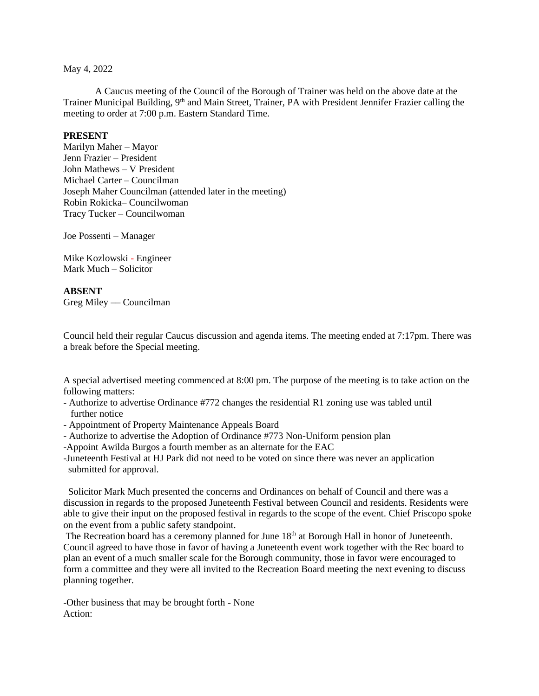## May 4, 2022

A Caucus meeting of the Council of the Borough of Trainer was held on the above date at the Trainer Municipal Building, 9<sup>th</sup> and Main Street, Trainer, PA with President Jennifer Frazier calling the meeting to order at 7:00 p.m. Eastern Standard Time.

## **PRESENT**

Marilyn Maher – Mayor Jenn Frazier – President John Mathews – V President Michael Carter – Councilman Joseph Maher Councilman (attended later in the meeting) Robin Rokicka– Councilwoman Tracy Tucker – Councilwoman

Joe Possenti – Manager

Mike Kozlowski - Engineer Mark Much – Solicitor

## **ABSENT**

Greg Miley –– Councilman

Council held their regular Caucus discussion and agenda items. The meeting ended at 7:17pm. There was a break before the Special meeting.

A special advertised meeting commenced at 8:00 pm. The purpose of the meeting is to take action on the following matters:

- Authorize to advertise Ordinance #772 changes the residential R1 zoning use was tabled until further notice
- Appointment of Property Maintenance Appeals Board
- Authorize to advertise the Adoption of Ordinance #773 Non-Uniform pension plan
- -Appoint Awilda Burgos a fourth member as an alternate for the EAC

-Juneteenth Festival at HJ Park did not need to be voted on since there was never an application submitted for approval.

 Solicitor Mark Much presented the concerns and Ordinances on behalf of Council and there was a discussion in regards to the proposed Juneteenth Festival between Council and residents. Residents were able to give their input on the proposed festival in regards to the scope of the event. Chief Priscopo spoke on the event from a public safety standpoint.

The Recreation board has a ceremony planned for June 18<sup>th</sup> at Borough Hall in honor of Juneteenth. Council agreed to have those in favor of having a Juneteenth event work together with the Rec board to plan an event of a much smaller scale for the Borough community, those in favor were encouraged to form a committee and they were all invited to the Recreation Board meeting the next evening to discuss planning together.

-Other business that may be brought forth - None Action: